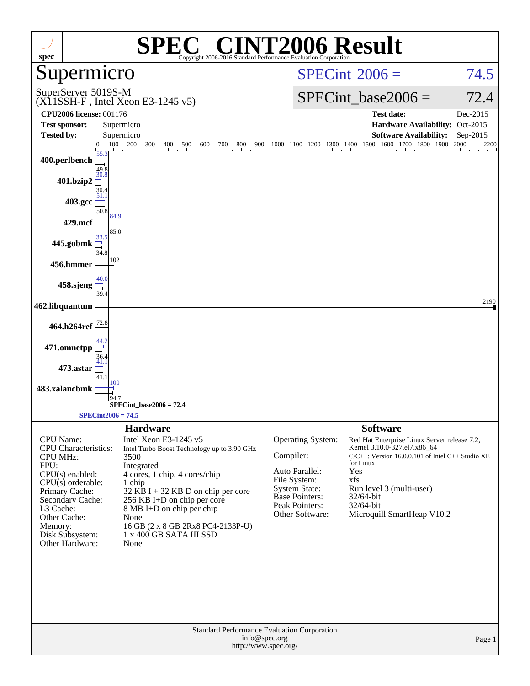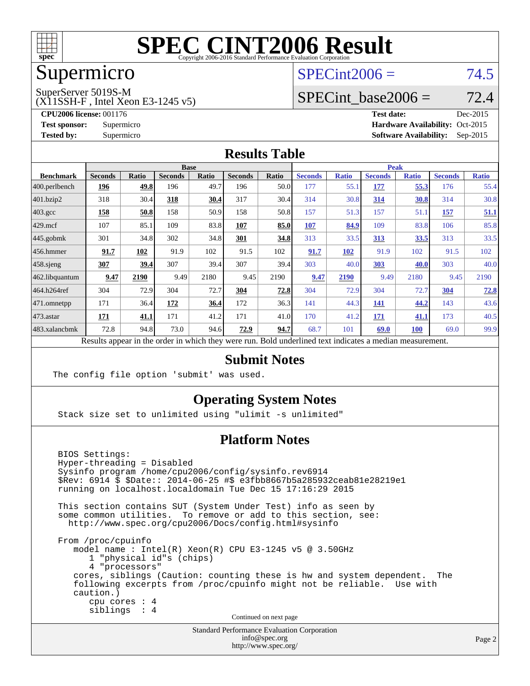

## Supermicro

## $SPECint2006 = 74.5$  $SPECint2006 = 74.5$

SuperServer 5019S-M

(X11SSH-F , Intel Xeon E3-1245 v5)

SPECint base2006 =  $72.4$ 

**[CPU2006 license:](http://www.spec.org/auto/cpu2006/Docs/result-fields.html#CPU2006license)** 001176 **[Test date:](http://www.spec.org/auto/cpu2006/Docs/result-fields.html#Testdate)** Dec-2015 **[Test sponsor:](http://www.spec.org/auto/cpu2006/Docs/result-fields.html#Testsponsor)** Supermicro Supermicro **[Hardware Availability:](http://www.spec.org/auto/cpu2006/Docs/result-fields.html#HardwareAvailability)** Oct-2015 **[Tested by:](http://www.spec.org/auto/cpu2006/Docs/result-fields.html#Testedby)** Supermicro **Supermicro [Software Availability:](http://www.spec.org/auto/cpu2006/Docs/result-fields.html#SoftwareAvailability)** Sep-2015

#### **[Results Table](http://www.spec.org/auto/cpu2006/Docs/result-fields.html#ResultsTable)**

|                                                                                                          |                |       | <b>Base</b>    |       |                |       |                |              | <b>Peak</b>    |              |                |              |
|----------------------------------------------------------------------------------------------------------|----------------|-------|----------------|-------|----------------|-------|----------------|--------------|----------------|--------------|----------------|--------------|
| <b>Benchmark</b>                                                                                         | <b>Seconds</b> | Ratio | <b>Seconds</b> | Ratio | <b>Seconds</b> | Ratio | <b>Seconds</b> | <b>Ratio</b> | <b>Seconds</b> | <b>Ratio</b> | <b>Seconds</b> | <b>Ratio</b> |
| 400.perlbench                                                                                            | 196            | 49.8  | 196            | 49.7  | 196            | 50.0  | 177            | 55.1         | 177            | 55.3         | 176            | 55.4         |
| 401.bzip2                                                                                                | 318            | 30.4  | 318            | 30.4  | 317            | 30.4  | 314            | 30.8         | 314            | 30.8         | 314            | 30.8         |
| $403.\text{gcc}$                                                                                         | 158            | 50.8  | 158            | 50.9  | 158            | 50.8  | 157            | 51.3         | 157            | 51.1         | 157            | 51.1         |
| $429$ mcf                                                                                                | 107            | 85.1  | 109            | 83.8  | 107            | 85.0  | 107            | 84.9         | 109            | 83.8         | 106            | 85.8         |
| $ 445.\text{gobmk} $                                                                                     | 301            | 34.8  | 302            | 34.8  | 301            | 34.8  | 313            | 33.5         | 313            | 33.5         | 313            | 33.5         |
| $456.$ hmmer                                                                                             | 91.7           | 102   | 91.9           | 102   | 91.5           | 102   | 91.7           | 102          | 91.9           | 102          | 91.5           | 102          |
| $458$ .sjeng                                                                                             | 307            | 39.4  | 307            | 39.4  | 307            | 39.4  | 303            | 40.0         | 303            | 40.0         | 303            | 40.0         |
| 462.libquantum                                                                                           | 9.47           | 2190  | 9.49           | 2180  | 9.45           | 2190  | 9.47           | 2190         | 9.49           | 2180         | 9.45           | 2190         |
| 464.h264ref                                                                                              | 304            | 72.9  | 304            | 72.7  | 304            | 72.8  | 304            | 72.9         | 304            | 72.7         | 304            | 72.8         |
| $ 471$ .omnetpp                                                                                          | 171            | 36.4  | 172            | 36.4  | 172            | 36.3  | 141            | 44.3         | 141            | 44.2         | 143            | 43.6         |
| $473$ . astar                                                                                            | <b>171</b>     | 41.1  | 171            | 41.2  | 171            | 41.0  | 170            | 41.2         | <b>171</b>     | 41.1         | 173            | 40.5         |
| 483.xalancbmk                                                                                            | 72.8           | 94.8  | 73.0           | 94.6  | 72.9           | 94.7  | 68.7           | 101          | 69.0           | 100          | 69.0           | 99.9         |
| Results appear in the order in which they were run. Bold underlined text indicates a median measurement. |                |       |                |       |                |       |                |              |                |              |                |              |

#### **[Submit Notes](http://www.spec.org/auto/cpu2006/Docs/result-fields.html#SubmitNotes)**

The config file option 'submit' was used.

#### **[Operating System Notes](http://www.spec.org/auto/cpu2006/Docs/result-fields.html#OperatingSystemNotes)**

Stack size set to unlimited using "ulimit -s unlimited"

#### **[Platform Notes](http://www.spec.org/auto/cpu2006/Docs/result-fields.html#PlatformNotes)**

 BIOS Settings: Hyper-threading = Disabled Sysinfo program /home/cpu2006/config/sysinfo.rev6914 \$Rev: 6914 \$ \$Date:: 2014-06-25 #\$ e3fbb8667b5a285932ceab81e28219e1 running on localhost.localdomain Tue Dec 15 17:16:29 2015 This section contains SUT (System Under Test) info as seen by some common utilities. To remove or add to this section, see: <http://www.spec.org/cpu2006/Docs/config.html#sysinfo> From /proc/cpuinfo model name : Intel(R) Xeon(R) CPU E3-1245 v5 @ 3.50GHz 1 "physical id"s (chips) 4 "processors" cores, siblings (Caution: counting these is hw and system dependent. The following excerpts from /proc/cpuinfo might not be reliable. Use with caution.) cpu cores : 4 siblings : 4 Continued on next page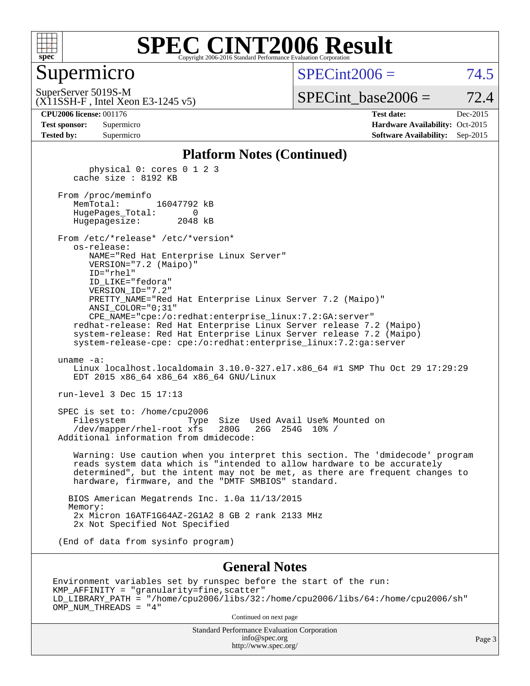

#### Supermicro

 $SPECint2006 = 74.5$  $SPECint2006 = 74.5$ 

(X11SSH-F , Intel Xeon E3-1245 v5) SuperServer 5019S-M

SPECint base2006 =  $72.4$ 

**[CPU2006 license:](http://www.spec.org/auto/cpu2006/Docs/result-fields.html#CPU2006license)** 001176 **[Test date:](http://www.spec.org/auto/cpu2006/Docs/result-fields.html#Testdate)** Dec-2015 **[Test sponsor:](http://www.spec.org/auto/cpu2006/Docs/result-fields.html#Testsponsor)** Supermicro Supermicro **[Hardware Availability:](http://www.spec.org/auto/cpu2006/Docs/result-fields.html#HardwareAvailability)** Oct-2015 **[Tested by:](http://www.spec.org/auto/cpu2006/Docs/result-fields.html#Testedby)** Supermicro **Supermicro [Software Availability:](http://www.spec.org/auto/cpu2006/Docs/result-fields.html#SoftwareAvailability)** Sep-2015

#### **[Platform Notes \(Continued\)](http://www.spec.org/auto/cpu2006/Docs/result-fields.html#PlatformNotes)**

 physical 0: cores 0 1 2 3 cache size : 8192 KB From /proc/meminfo<br>MemTotal: 16047792 kB HugePages\_Total: 0 Hugepagesize: 2048 kB From /etc/\*release\* /etc/\*version\* os-release: NAME="Red Hat Enterprise Linux Server" VERSION="7.2 (Maipo)" ID="rhel" ID\_LIKE="fedora" VERSION\_ID="7.2" PRETTY\_NAME="Red Hat Enterprise Linux Server 7.2 (Maipo)" ANSI\_COLOR="0;31" CPE\_NAME="cpe:/o:redhat:enterprise\_linux:7.2:GA:server" redhat-release: Red Hat Enterprise Linux Server release 7.2 (Maipo) system-release: Red Hat Enterprise Linux Server release 7.2 (Maipo) system-release-cpe: cpe:/o:redhat:enterprise\_linux:7.2:ga:server uname -a: Linux localhost.localdomain 3.10.0-327.el7.x86\_64 #1 SMP Thu Oct 29 17:29:29 EDT 2015 x86\_64 x86\_64 x86\_64 GNU/Linux run-level 3 Dec 15 17:13 SPEC is set to: /home/cpu2006 Filesystem Type Size Used Avail Use% Mounted on<br>/dev/mapper/rhel-root xfs 280G 26G 254G 10% / /dev/mapper/rhel-root xfs 280G Additional information from dmidecode: Warning: Use caution when you interpret this section. The 'dmidecode' program reads system data which is "intended to allow hardware to be accurately determined", but the intent may not be met, as there are frequent changes to hardware, firmware, and the "DMTF SMBIOS" standard. BIOS American Megatrends Inc. 1.0a 11/13/2015 Memory: 2x Micron 16ATF1G64AZ-2G1A2 8 GB 2 rank 2133 MHz 2x Not Specified Not Specified (End of data from sysinfo program)

#### **[General Notes](http://www.spec.org/auto/cpu2006/Docs/result-fields.html#GeneralNotes)**

Environment variables set by runspec before the start of the run: KMP\_AFFINITY = "granularity=fine,scatter" LD\_LIBRARY\_PATH = "/home/cpu2006/libs/32:/home/cpu2006/libs/64:/home/cpu2006/sh" OMP\_NUM\_THREADS = "4"

Continued on next page

Standard Performance Evaluation Corporation [info@spec.org](mailto:info@spec.org) <http://www.spec.org/>

Page 3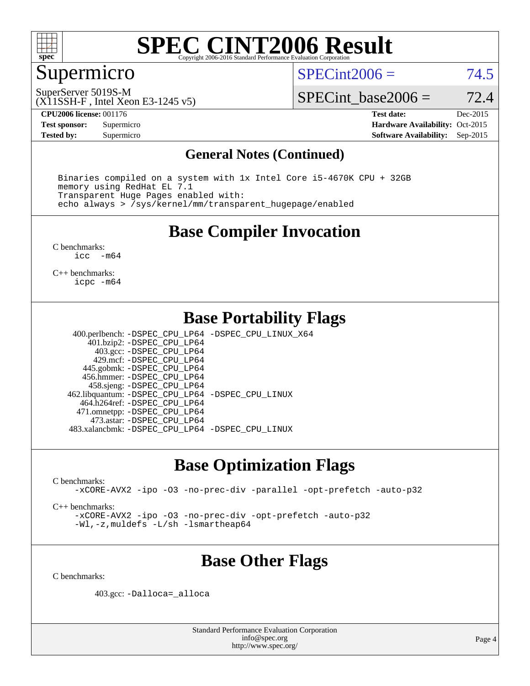

## Supermicro

 $SPECint2006 = 74.5$  $SPECint2006 = 74.5$ 

SuperServer 5019S-M

(X11SSH-F , Intel Xeon E3-1245 v5)

SPECint base2006 =  $72.4$ 

**[CPU2006 license:](http://www.spec.org/auto/cpu2006/Docs/result-fields.html#CPU2006license)** 001176 **[Test date:](http://www.spec.org/auto/cpu2006/Docs/result-fields.html#Testdate)** Dec-2015

**[Tested by:](http://www.spec.org/auto/cpu2006/Docs/result-fields.html#Testedby)** Supermicro **Supermicro [Software Availability:](http://www.spec.org/auto/cpu2006/Docs/result-fields.html#SoftwareAvailability)** Sep-2015

**[Test sponsor:](http://www.spec.org/auto/cpu2006/Docs/result-fields.html#Testsponsor)** Supermicro Supermicro **[Hardware Availability:](http://www.spec.org/auto/cpu2006/Docs/result-fields.html#HardwareAvailability)** Oct-2015

#### **[General Notes \(Continued\)](http://www.spec.org/auto/cpu2006/Docs/result-fields.html#GeneralNotes)**

 Binaries compiled on a system with 1x Intel Core i5-4670K CPU + 32GB memory using RedHat EL 7.1 Transparent Huge Pages enabled with: echo always > /sys/kernel/mm/transparent\_hugepage/enabled

#### **[Base Compiler Invocation](http://www.spec.org/auto/cpu2006/Docs/result-fields.html#BaseCompilerInvocation)**

[C benchmarks](http://www.spec.org/auto/cpu2006/Docs/result-fields.html#Cbenchmarks):<br> $\frac{1}{2}$ cc  $-m64$ 

[C++ benchmarks:](http://www.spec.org/auto/cpu2006/Docs/result-fields.html#CXXbenchmarks) [icpc -m64](http://www.spec.org/cpu2006/results/res2016q1/cpu2006-20151217-38460.flags.html#user_CXXbase_intel_icpc_64bit_fc66a5337ce925472a5c54ad6a0de310)

#### **[Base Portability Flags](http://www.spec.org/auto/cpu2006/Docs/result-fields.html#BasePortabilityFlags)**

 400.perlbench: [-DSPEC\\_CPU\\_LP64](http://www.spec.org/cpu2006/results/res2016q1/cpu2006-20151217-38460.flags.html#b400.perlbench_basePORTABILITY_DSPEC_CPU_LP64) [-DSPEC\\_CPU\\_LINUX\\_X64](http://www.spec.org/cpu2006/results/res2016q1/cpu2006-20151217-38460.flags.html#b400.perlbench_baseCPORTABILITY_DSPEC_CPU_LINUX_X64) 401.bzip2: [-DSPEC\\_CPU\\_LP64](http://www.spec.org/cpu2006/results/res2016q1/cpu2006-20151217-38460.flags.html#suite_basePORTABILITY401_bzip2_DSPEC_CPU_LP64) 403.gcc: [-DSPEC\\_CPU\\_LP64](http://www.spec.org/cpu2006/results/res2016q1/cpu2006-20151217-38460.flags.html#suite_basePORTABILITY403_gcc_DSPEC_CPU_LP64) 429.mcf: [-DSPEC\\_CPU\\_LP64](http://www.spec.org/cpu2006/results/res2016q1/cpu2006-20151217-38460.flags.html#suite_basePORTABILITY429_mcf_DSPEC_CPU_LP64) 445.gobmk: [-DSPEC\\_CPU\\_LP64](http://www.spec.org/cpu2006/results/res2016q1/cpu2006-20151217-38460.flags.html#suite_basePORTABILITY445_gobmk_DSPEC_CPU_LP64) 456.hmmer: [-DSPEC\\_CPU\\_LP64](http://www.spec.org/cpu2006/results/res2016q1/cpu2006-20151217-38460.flags.html#suite_basePORTABILITY456_hmmer_DSPEC_CPU_LP64) 458.sjeng: [-DSPEC\\_CPU\\_LP64](http://www.spec.org/cpu2006/results/res2016q1/cpu2006-20151217-38460.flags.html#suite_basePORTABILITY458_sjeng_DSPEC_CPU_LP64) 462.libquantum: [-DSPEC\\_CPU\\_LP64](http://www.spec.org/cpu2006/results/res2016q1/cpu2006-20151217-38460.flags.html#suite_basePORTABILITY462_libquantum_DSPEC_CPU_LP64) [-DSPEC\\_CPU\\_LINUX](http://www.spec.org/cpu2006/results/res2016q1/cpu2006-20151217-38460.flags.html#b462.libquantum_baseCPORTABILITY_DSPEC_CPU_LINUX) 464.h264ref: [-DSPEC\\_CPU\\_LP64](http://www.spec.org/cpu2006/results/res2016q1/cpu2006-20151217-38460.flags.html#suite_basePORTABILITY464_h264ref_DSPEC_CPU_LP64) 471.omnetpp: [-DSPEC\\_CPU\\_LP64](http://www.spec.org/cpu2006/results/res2016q1/cpu2006-20151217-38460.flags.html#suite_basePORTABILITY471_omnetpp_DSPEC_CPU_LP64) 473.astar: [-DSPEC\\_CPU\\_LP64](http://www.spec.org/cpu2006/results/res2016q1/cpu2006-20151217-38460.flags.html#suite_basePORTABILITY473_astar_DSPEC_CPU_LP64) 483.xalancbmk: [-DSPEC\\_CPU\\_LP64](http://www.spec.org/cpu2006/results/res2016q1/cpu2006-20151217-38460.flags.html#suite_basePORTABILITY483_xalancbmk_DSPEC_CPU_LP64) [-DSPEC\\_CPU\\_LINUX](http://www.spec.org/cpu2006/results/res2016q1/cpu2006-20151217-38460.flags.html#b483.xalancbmk_baseCXXPORTABILITY_DSPEC_CPU_LINUX)

## **[Base Optimization Flags](http://www.spec.org/auto/cpu2006/Docs/result-fields.html#BaseOptimizationFlags)**

[C benchmarks](http://www.spec.org/auto/cpu2006/Docs/result-fields.html#Cbenchmarks):

[-xCORE-AVX2](http://www.spec.org/cpu2006/results/res2016q1/cpu2006-20151217-38460.flags.html#user_CCbase_f-xAVX2_5f5fc0cbe2c9f62c816d3e45806c70d7) [-ipo](http://www.spec.org/cpu2006/results/res2016q1/cpu2006-20151217-38460.flags.html#user_CCbase_f-ipo) [-O3](http://www.spec.org/cpu2006/results/res2016q1/cpu2006-20151217-38460.flags.html#user_CCbase_f-O3) [-no-prec-div](http://www.spec.org/cpu2006/results/res2016q1/cpu2006-20151217-38460.flags.html#user_CCbase_f-no-prec-div) [-parallel](http://www.spec.org/cpu2006/results/res2016q1/cpu2006-20151217-38460.flags.html#user_CCbase_f-parallel) [-opt-prefetch](http://www.spec.org/cpu2006/results/res2016q1/cpu2006-20151217-38460.flags.html#user_CCbase_f-opt-prefetch) [-auto-p32](http://www.spec.org/cpu2006/results/res2016q1/cpu2006-20151217-38460.flags.html#user_CCbase_f-auto-p32)

[C++ benchmarks:](http://www.spec.org/auto/cpu2006/Docs/result-fields.html#CXXbenchmarks)

[-xCORE-AVX2](http://www.spec.org/cpu2006/results/res2016q1/cpu2006-20151217-38460.flags.html#user_CXXbase_f-xAVX2_5f5fc0cbe2c9f62c816d3e45806c70d7) [-ipo](http://www.spec.org/cpu2006/results/res2016q1/cpu2006-20151217-38460.flags.html#user_CXXbase_f-ipo) [-O3](http://www.spec.org/cpu2006/results/res2016q1/cpu2006-20151217-38460.flags.html#user_CXXbase_f-O3) [-no-prec-div](http://www.spec.org/cpu2006/results/res2016q1/cpu2006-20151217-38460.flags.html#user_CXXbase_f-no-prec-div) [-opt-prefetch](http://www.spec.org/cpu2006/results/res2016q1/cpu2006-20151217-38460.flags.html#user_CXXbase_f-opt-prefetch) [-auto-p32](http://www.spec.org/cpu2006/results/res2016q1/cpu2006-20151217-38460.flags.html#user_CXXbase_f-auto-p32) [-Wl,-z,muldefs](http://www.spec.org/cpu2006/results/res2016q1/cpu2006-20151217-38460.flags.html#user_CXXbase_link_force_multiple1_74079c344b956b9658436fd1b6dd3a8a) [-L/sh -lsmartheap64](http://www.spec.org/cpu2006/results/res2016q1/cpu2006-20151217-38460.flags.html#user_CXXbase_SmartHeap64_ed4ef857ce90951921efb0d91eb88472)

## **[Base Other Flags](http://www.spec.org/auto/cpu2006/Docs/result-fields.html#BaseOtherFlags)**

[C benchmarks](http://www.spec.org/auto/cpu2006/Docs/result-fields.html#Cbenchmarks):

403.gcc: [-Dalloca=\\_alloca](http://www.spec.org/cpu2006/results/res2016q1/cpu2006-20151217-38460.flags.html#b403.gcc_baseEXTRA_CFLAGS_Dalloca_be3056838c12de2578596ca5467af7f3)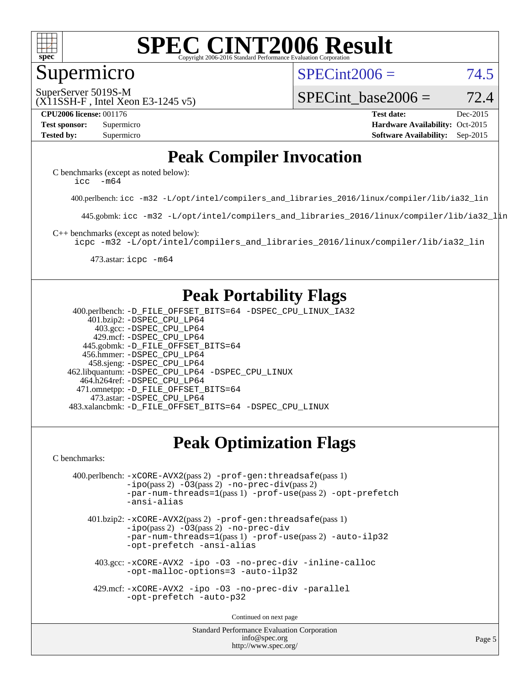

#### Supermicro

 $SPECint2006 = 74.5$  $SPECint2006 = 74.5$ 

(X11SSH-F , Intel Xeon E3-1245 v5) SuperServer 5019S-M

SPECint base2006 =  $72.4$ 

**[CPU2006 license:](http://www.spec.org/auto/cpu2006/Docs/result-fields.html#CPU2006license)** 001176 **[Test date:](http://www.spec.org/auto/cpu2006/Docs/result-fields.html#Testdate)** Dec-2015 **[Test sponsor:](http://www.spec.org/auto/cpu2006/Docs/result-fields.html#Testsponsor)** Supermicro **[Hardware Availability:](http://www.spec.org/auto/cpu2006/Docs/result-fields.html#HardwareAvailability)** Oct-2015 **[Tested by:](http://www.spec.org/auto/cpu2006/Docs/result-fields.html#Testedby)** Supermicro **Supermicro [Software Availability:](http://www.spec.org/auto/cpu2006/Docs/result-fields.html#SoftwareAvailability)** Sep-2015

## **[Peak Compiler Invocation](http://www.spec.org/auto/cpu2006/Docs/result-fields.html#PeakCompilerInvocation)**

[C benchmarks \(except as noted below\)](http://www.spec.org/auto/cpu2006/Docs/result-fields.html#Cbenchmarksexceptasnotedbelow): [icc -m64](http://www.spec.org/cpu2006/results/res2016q1/cpu2006-20151217-38460.flags.html#user_CCpeak_intel_icc_64bit_f346026e86af2a669e726fe758c88044)

400.perlbench: [icc -m32 -L/opt/intel/compilers\\_and\\_libraries\\_2016/linux/compiler/lib/ia32\\_lin](http://www.spec.org/cpu2006/results/res2016q1/cpu2006-20151217-38460.flags.html#user_peakCCLD400_perlbench_intel_icc_e10256ba5924b668798078a321b0cb3f)

445.gobmk: [icc -m32 -L/opt/intel/compilers\\_and\\_libraries\\_2016/linux/compiler/lib/ia32\\_lin](http://www.spec.org/cpu2006/results/res2016q1/cpu2006-20151217-38460.flags.html#user_peakCCLD445_gobmk_intel_icc_e10256ba5924b668798078a321b0cb3f)

[C++ benchmarks \(except as noted below\):](http://www.spec.org/auto/cpu2006/Docs/result-fields.html#CXXbenchmarksexceptasnotedbelow)

[icpc -m32 -L/opt/intel/compilers\\_and\\_libraries\\_2016/linux/compiler/lib/ia32\\_lin](http://www.spec.org/cpu2006/results/res2016q1/cpu2006-20151217-38460.flags.html#user_CXXpeak_intel_icpc_b4f50a394bdb4597aa5879c16bc3f5c5)

473.astar: [icpc -m64](http://www.spec.org/cpu2006/results/res2016q1/cpu2006-20151217-38460.flags.html#user_peakCXXLD473_astar_intel_icpc_64bit_fc66a5337ce925472a5c54ad6a0de310)

### **[Peak Portability Flags](http://www.spec.org/auto/cpu2006/Docs/result-fields.html#PeakPortabilityFlags)**

 400.perlbench: [-D\\_FILE\\_OFFSET\\_BITS=64](http://www.spec.org/cpu2006/results/res2016q1/cpu2006-20151217-38460.flags.html#user_peakPORTABILITY400_perlbench_file_offset_bits_64_438cf9856305ebd76870a2c6dc2689ab) [-DSPEC\\_CPU\\_LINUX\\_IA32](http://www.spec.org/cpu2006/results/res2016q1/cpu2006-20151217-38460.flags.html#b400.perlbench_peakCPORTABILITY_DSPEC_CPU_LINUX_IA32) 401.bzip2: [-DSPEC\\_CPU\\_LP64](http://www.spec.org/cpu2006/results/res2016q1/cpu2006-20151217-38460.flags.html#suite_peakPORTABILITY401_bzip2_DSPEC_CPU_LP64) 403.gcc: [-DSPEC\\_CPU\\_LP64](http://www.spec.org/cpu2006/results/res2016q1/cpu2006-20151217-38460.flags.html#suite_peakPORTABILITY403_gcc_DSPEC_CPU_LP64) 429.mcf: [-DSPEC\\_CPU\\_LP64](http://www.spec.org/cpu2006/results/res2016q1/cpu2006-20151217-38460.flags.html#suite_peakPORTABILITY429_mcf_DSPEC_CPU_LP64) 445.gobmk: [-D\\_FILE\\_OFFSET\\_BITS=64](http://www.spec.org/cpu2006/results/res2016q1/cpu2006-20151217-38460.flags.html#user_peakPORTABILITY445_gobmk_file_offset_bits_64_438cf9856305ebd76870a2c6dc2689ab) 456.hmmer: [-DSPEC\\_CPU\\_LP64](http://www.spec.org/cpu2006/results/res2016q1/cpu2006-20151217-38460.flags.html#suite_peakPORTABILITY456_hmmer_DSPEC_CPU_LP64) 458.sjeng: [-DSPEC\\_CPU\\_LP64](http://www.spec.org/cpu2006/results/res2016q1/cpu2006-20151217-38460.flags.html#suite_peakPORTABILITY458_sjeng_DSPEC_CPU_LP64) 462.libquantum: [-DSPEC\\_CPU\\_LP64](http://www.spec.org/cpu2006/results/res2016q1/cpu2006-20151217-38460.flags.html#suite_peakPORTABILITY462_libquantum_DSPEC_CPU_LP64) [-DSPEC\\_CPU\\_LINUX](http://www.spec.org/cpu2006/results/res2016q1/cpu2006-20151217-38460.flags.html#b462.libquantum_peakCPORTABILITY_DSPEC_CPU_LINUX) 464.h264ref: [-DSPEC\\_CPU\\_LP64](http://www.spec.org/cpu2006/results/res2016q1/cpu2006-20151217-38460.flags.html#suite_peakPORTABILITY464_h264ref_DSPEC_CPU_LP64) 471.omnetpp: [-D\\_FILE\\_OFFSET\\_BITS=64](http://www.spec.org/cpu2006/results/res2016q1/cpu2006-20151217-38460.flags.html#user_peakPORTABILITY471_omnetpp_file_offset_bits_64_438cf9856305ebd76870a2c6dc2689ab) 473.astar: [-DSPEC\\_CPU\\_LP64](http://www.spec.org/cpu2006/results/res2016q1/cpu2006-20151217-38460.flags.html#suite_peakPORTABILITY473_astar_DSPEC_CPU_LP64) 483.xalancbmk: [-D\\_FILE\\_OFFSET\\_BITS=64](http://www.spec.org/cpu2006/results/res2016q1/cpu2006-20151217-38460.flags.html#user_peakPORTABILITY483_xalancbmk_file_offset_bits_64_438cf9856305ebd76870a2c6dc2689ab) [-DSPEC\\_CPU\\_LINUX](http://www.spec.org/cpu2006/results/res2016q1/cpu2006-20151217-38460.flags.html#b483.xalancbmk_peakCXXPORTABILITY_DSPEC_CPU_LINUX)

## **[Peak Optimization Flags](http://www.spec.org/auto/cpu2006/Docs/result-fields.html#PeakOptimizationFlags)**

[C benchmarks](http://www.spec.org/auto/cpu2006/Docs/result-fields.html#Cbenchmarks):

```
 400.perlbench: -xCORE-AVX2(pass 2) -prof-gen:threadsafe(pass 1)
-no-prec-div(pass 2)-par-num-threads=1(pass 1) -prof-use(pass 2) -opt-prefetch
-ansi-alias
```
 401.bzip2: [-xCORE-AVX2](http://www.spec.org/cpu2006/results/res2016q1/cpu2006-20151217-38460.flags.html#user_peakPASS2_CFLAGSPASS2_LDCFLAGS401_bzip2_f-xAVX2_5f5fc0cbe2c9f62c816d3e45806c70d7)(pass 2) [-prof-gen:threadsafe](http://www.spec.org/cpu2006/results/res2016q1/cpu2006-20151217-38460.flags.html#user_peakPASS1_CFLAGSPASS1_LDCFLAGS401_bzip2_prof_gen_21a26eb79f378b550acd7bec9fe4467a)(pass 1)  $-i\text{po}(pass 2) -03(pass 2) -no-prec-div$  $-i\text{po}(pass 2) -03(pass 2) -no-prec-div$ [-par-num-threads=1](http://www.spec.org/cpu2006/results/res2016q1/cpu2006-20151217-38460.flags.html#user_peakPASS1_CFLAGSPASS1_LDCFLAGS401_bzip2_par_num_threads_786a6ff141b4e9e90432e998842df6c2)(pass 1) [-prof-use](http://www.spec.org/cpu2006/results/res2016q1/cpu2006-20151217-38460.flags.html#user_peakPASS2_CFLAGSPASS2_LDCFLAGS401_bzip2_prof_use_bccf7792157ff70d64e32fe3e1250b55)(pass 2) [-auto-ilp32](http://www.spec.org/cpu2006/results/res2016q1/cpu2006-20151217-38460.flags.html#user_peakCOPTIMIZE401_bzip2_f-auto-ilp32) [-opt-prefetch](http://www.spec.org/cpu2006/results/res2016q1/cpu2006-20151217-38460.flags.html#user_peakCOPTIMIZE401_bzip2_f-opt-prefetch) [-ansi-alias](http://www.spec.org/cpu2006/results/res2016q1/cpu2006-20151217-38460.flags.html#user_peakCOPTIMIZE401_bzip2_f-ansi-alias)

 403.gcc: [-xCORE-AVX2](http://www.spec.org/cpu2006/results/res2016q1/cpu2006-20151217-38460.flags.html#user_peakCOPTIMIZE403_gcc_f-xAVX2_5f5fc0cbe2c9f62c816d3e45806c70d7) [-ipo](http://www.spec.org/cpu2006/results/res2016q1/cpu2006-20151217-38460.flags.html#user_peakCOPTIMIZE403_gcc_f-ipo) [-O3](http://www.spec.org/cpu2006/results/res2016q1/cpu2006-20151217-38460.flags.html#user_peakCOPTIMIZE403_gcc_f-O3) [-no-prec-div](http://www.spec.org/cpu2006/results/res2016q1/cpu2006-20151217-38460.flags.html#user_peakCOPTIMIZE403_gcc_f-no-prec-div) [-inline-calloc](http://www.spec.org/cpu2006/results/res2016q1/cpu2006-20151217-38460.flags.html#user_peakCOPTIMIZE403_gcc_f-inline-calloc) [-opt-malloc-options=3](http://www.spec.org/cpu2006/results/res2016q1/cpu2006-20151217-38460.flags.html#user_peakCOPTIMIZE403_gcc_f-opt-malloc-options_13ab9b803cf986b4ee62f0a5998c2238) [-auto-ilp32](http://www.spec.org/cpu2006/results/res2016q1/cpu2006-20151217-38460.flags.html#user_peakCOPTIMIZE403_gcc_f-auto-ilp32)

 429.mcf: [-xCORE-AVX2](http://www.spec.org/cpu2006/results/res2016q1/cpu2006-20151217-38460.flags.html#user_peakCOPTIMIZE429_mcf_f-xAVX2_5f5fc0cbe2c9f62c816d3e45806c70d7) [-ipo](http://www.spec.org/cpu2006/results/res2016q1/cpu2006-20151217-38460.flags.html#user_peakCOPTIMIZE429_mcf_f-ipo) [-O3](http://www.spec.org/cpu2006/results/res2016q1/cpu2006-20151217-38460.flags.html#user_peakCOPTIMIZE429_mcf_f-O3) [-no-prec-div](http://www.spec.org/cpu2006/results/res2016q1/cpu2006-20151217-38460.flags.html#user_peakCOPTIMIZE429_mcf_f-no-prec-div) [-parallel](http://www.spec.org/cpu2006/results/res2016q1/cpu2006-20151217-38460.flags.html#user_peakCOPTIMIZE429_mcf_f-parallel) [-opt-prefetch](http://www.spec.org/cpu2006/results/res2016q1/cpu2006-20151217-38460.flags.html#user_peakCOPTIMIZE429_mcf_f-opt-prefetch) [-auto-p32](http://www.spec.org/cpu2006/results/res2016q1/cpu2006-20151217-38460.flags.html#user_peakCOPTIMIZE429_mcf_f-auto-p32)

Continued on next page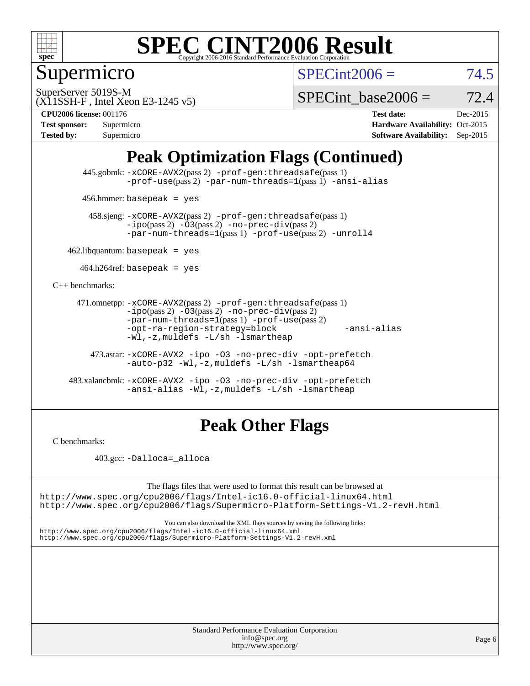

Supermicro

 $SPECint2006 = 74.5$  $SPECint2006 = 74.5$ 

(X11SSH-F , Intel Xeon E3-1245 v5) SuperServer 5019S-M

SPECint base2006 =  $72.4$ 

**[CPU2006 license:](http://www.spec.org/auto/cpu2006/Docs/result-fields.html#CPU2006license)** 001176 **[Test date:](http://www.spec.org/auto/cpu2006/Docs/result-fields.html#Testdate)** Dec-2015

| <b>Test sponsor:</b> | Supermicro |
|----------------------|------------|
| <b>Tested by:</b>    | Supermicro |

**[Hardware Availability:](http://www.spec.org/auto/cpu2006/Docs/result-fields.html#HardwareAvailability)** Oct-2015 **[Software Availability:](http://www.spec.org/auto/cpu2006/Docs/result-fields.html#SoftwareAvailability)** Sep-2015

## **[Peak Optimization Flags \(Continued\)](http://www.spec.org/auto/cpu2006/Docs/result-fields.html#PeakOptimizationFlags)**

 445.gobmk: [-xCORE-AVX2](http://www.spec.org/cpu2006/results/res2016q1/cpu2006-20151217-38460.flags.html#user_peakPASS2_CFLAGSPASS2_LDCFLAGS445_gobmk_f-xAVX2_5f5fc0cbe2c9f62c816d3e45806c70d7)(pass 2) [-prof-gen:threadsafe](http://www.spec.org/cpu2006/results/res2016q1/cpu2006-20151217-38460.flags.html#user_peakPASS1_CFLAGSPASS1_LDCFLAGS445_gobmk_prof_gen_21a26eb79f378b550acd7bec9fe4467a)(pass 1) [-prof-use](http://www.spec.org/cpu2006/results/res2016q1/cpu2006-20151217-38460.flags.html#user_peakPASS2_CFLAGSPASS2_LDCFLAGS445_gobmk_prof_use_bccf7792157ff70d64e32fe3e1250b55)(pass 2) [-par-num-threads=1](http://www.spec.org/cpu2006/results/res2016q1/cpu2006-20151217-38460.flags.html#user_peakPASS1_CFLAGSPASS1_LDCFLAGS445_gobmk_par_num_threads_786a6ff141b4e9e90432e998842df6c2)(pass 1) [-ansi-alias](http://www.spec.org/cpu2006/results/res2016q1/cpu2006-20151217-38460.flags.html#user_peakCOPTIMIZE445_gobmk_f-ansi-alias)

456.hmmer: basepeak = yes

 458.sjeng: [-xCORE-AVX2](http://www.spec.org/cpu2006/results/res2016q1/cpu2006-20151217-38460.flags.html#user_peakPASS2_CFLAGSPASS2_LDCFLAGS458_sjeng_f-xAVX2_5f5fc0cbe2c9f62c816d3e45806c70d7)(pass 2) [-prof-gen:threadsafe](http://www.spec.org/cpu2006/results/res2016q1/cpu2006-20151217-38460.flags.html#user_peakPASS1_CFLAGSPASS1_LDCFLAGS458_sjeng_prof_gen_21a26eb79f378b550acd7bec9fe4467a)(pass 1)  $-ipo(pass 2) -\overline{O3(pass 2)}$  $-ipo(pass 2) -\overline{O3(pass 2)}$  [-no-prec-div](http://www.spec.org/cpu2006/results/res2016q1/cpu2006-20151217-38460.flags.html#user_peakPASS2_CFLAGSPASS2_LDCFLAGS458_sjeng_f-no-prec-div)(pass 2) [-par-num-threads=1](http://www.spec.org/cpu2006/results/res2016q1/cpu2006-20151217-38460.flags.html#user_peakPASS1_CFLAGSPASS1_LDCFLAGS458_sjeng_par_num_threads_786a6ff141b4e9e90432e998842df6c2)(pass 1) [-prof-use](http://www.spec.org/cpu2006/results/res2016q1/cpu2006-20151217-38460.flags.html#user_peakPASS2_CFLAGSPASS2_LDCFLAGS458_sjeng_prof_use_bccf7792157ff70d64e32fe3e1250b55)(pass 2) [-unroll4](http://www.spec.org/cpu2006/results/res2016q1/cpu2006-20151217-38460.flags.html#user_peakCOPTIMIZE458_sjeng_f-unroll_4e5e4ed65b7fd20bdcd365bec371b81f)

 $462$ .libquantum: basepeak = yes

 $464.h264$ ref: basepeak = yes

[C++ benchmarks:](http://www.spec.org/auto/cpu2006/Docs/result-fields.html#CXXbenchmarks)

```
 471.omnetpp: -xCORE-AVX2(pass 2) -prof-gen:threadsafe(pass 1)
-i\text{po}(pass 2) -03(pass 2) -no-prec-div(pass 2)-par-num-threads=1(pass 1) -prof-use(pass 2)
-opt-ra-region-strategy=block -ansi-alias
-Wl,-z,muldefs -L/sh -lsmartheap
```
 473.astar: [-xCORE-AVX2](http://www.spec.org/cpu2006/results/res2016q1/cpu2006-20151217-38460.flags.html#user_peakCXXOPTIMIZE473_astar_f-xAVX2_5f5fc0cbe2c9f62c816d3e45806c70d7) [-ipo](http://www.spec.org/cpu2006/results/res2016q1/cpu2006-20151217-38460.flags.html#user_peakCXXOPTIMIZE473_astar_f-ipo) [-O3](http://www.spec.org/cpu2006/results/res2016q1/cpu2006-20151217-38460.flags.html#user_peakCXXOPTIMIZE473_astar_f-O3) [-no-prec-div](http://www.spec.org/cpu2006/results/res2016q1/cpu2006-20151217-38460.flags.html#user_peakCXXOPTIMIZE473_astar_f-no-prec-div) [-opt-prefetch](http://www.spec.org/cpu2006/results/res2016q1/cpu2006-20151217-38460.flags.html#user_peakCXXOPTIMIZE473_astar_f-opt-prefetch) [-auto-p32](http://www.spec.org/cpu2006/results/res2016q1/cpu2006-20151217-38460.flags.html#user_peakCXXOPTIMIZE473_astar_f-auto-p32) [-Wl,-z,muldefs](http://www.spec.org/cpu2006/results/res2016q1/cpu2006-20151217-38460.flags.html#user_peakEXTRA_LDFLAGS473_astar_link_force_multiple1_74079c344b956b9658436fd1b6dd3a8a) [-L/sh -lsmartheap64](http://www.spec.org/cpu2006/results/res2016q1/cpu2006-20151217-38460.flags.html#user_peakEXTRA_LIBS473_astar_SmartHeap64_ed4ef857ce90951921efb0d91eb88472)

 483.xalancbmk: [-xCORE-AVX2](http://www.spec.org/cpu2006/results/res2016q1/cpu2006-20151217-38460.flags.html#user_peakCXXOPTIMIZE483_xalancbmk_f-xAVX2_5f5fc0cbe2c9f62c816d3e45806c70d7) [-ipo](http://www.spec.org/cpu2006/results/res2016q1/cpu2006-20151217-38460.flags.html#user_peakCXXOPTIMIZE483_xalancbmk_f-ipo) [-O3](http://www.spec.org/cpu2006/results/res2016q1/cpu2006-20151217-38460.flags.html#user_peakCXXOPTIMIZE483_xalancbmk_f-O3) [-no-prec-div](http://www.spec.org/cpu2006/results/res2016q1/cpu2006-20151217-38460.flags.html#user_peakCXXOPTIMIZE483_xalancbmk_f-no-prec-div) [-opt-prefetch](http://www.spec.org/cpu2006/results/res2016q1/cpu2006-20151217-38460.flags.html#user_peakCXXOPTIMIZE483_xalancbmk_f-opt-prefetch) [-ansi-alias](http://www.spec.org/cpu2006/results/res2016q1/cpu2006-20151217-38460.flags.html#user_peakCXXOPTIMIZE483_xalancbmk_f-ansi-alias) [-Wl,-z,muldefs](http://www.spec.org/cpu2006/results/res2016q1/cpu2006-20151217-38460.flags.html#user_peakEXTRA_LDFLAGS483_xalancbmk_link_force_multiple1_74079c344b956b9658436fd1b6dd3a8a) [-L/sh -lsmartheap](http://www.spec.org/cpu2006/results/res2016q1/cpu2006-20151217-38460.flags.html#user_peakEXTRA_LIBS483_xalancbmk_SmartHeap_32f6c82aa1ed9c52345d30cf6e4a0499)

## **[Peak Other Flags](http://www.spec.org/auto/cpu2006/Docs/result-fields.html#PeakOtherFlags)**

[C benchmarks](http://www.spec.org/auto/cpu2006/Docs/result-fields.html#Cbenchmarks):

403.gcc: [-Dalloca=\\_alloca](http://www.spec.org/cpu2006/results/res2016q1/cpu2006-20151217-38460.flags.html#b403.gcc_peakEXTRA_CFLAGS_Dalloca_be3056838c12de2578596ca5467af7f3)

The flags files that were used to format this result can be browsed at <http://www.spec.org/cpu2006/flags/Intel-ic16.0-official-linux64.html>

<http://www.spec.org/cpu2006/flags/Supermicro-Platform-Settings-V1.2-revH.html>

You can also download the XML flags sources by saving the following links: <http://www.spec.org/cpu2006/flags/Intel-ic16.0-official-linux64.xml> <http://www.spec.org/cpu2006/flags/Supermicro-Platform-Settings-V1.2-revH.xml>